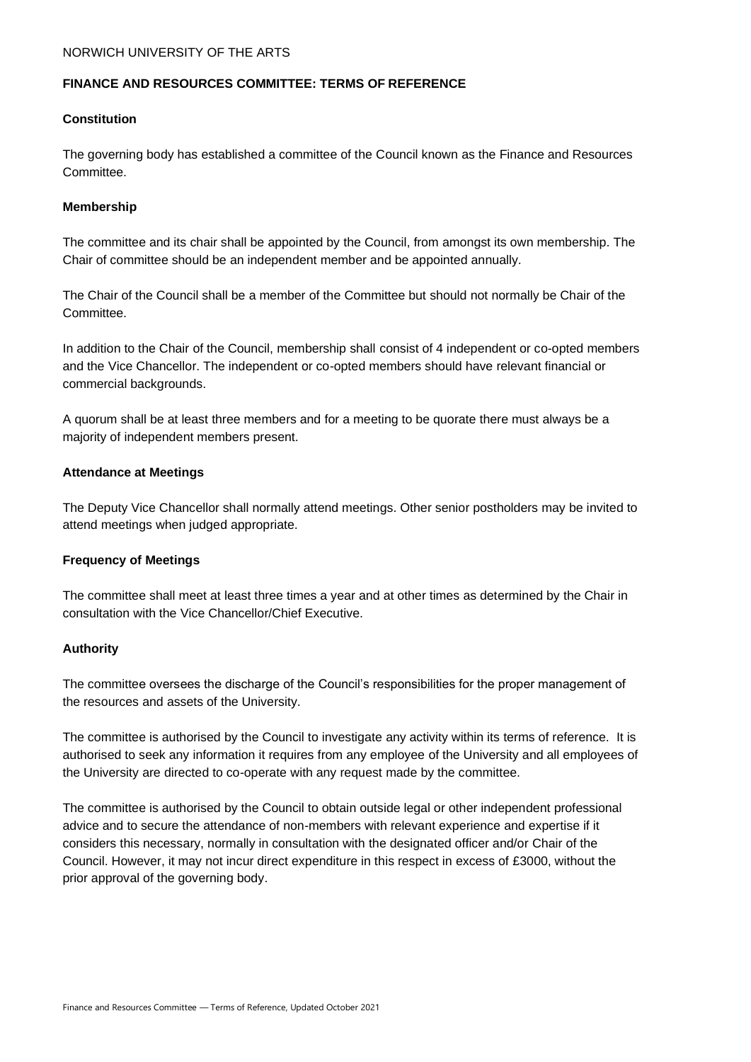# **FINANCE AND RESOURCES COMMITTEE: TERMS OF REFERENCE**

## **Constitution**

The governing body has established a committee of the Council known as the Finance and Resources Committee.

#### **Membership**

The committee and its chair shall be appointed by the Council, from amongst its own membership. The Chair of committee should be an independent member and be appointed annually.

The Chair of the Council shall be a member of the Committee but should not normally be Chair of the Committee.

In addition to the Chair of the Council, membership shall consist of 4 independent or co-opted members and the Vice Chancellor. The independent or co-opted members should have relevant financial or commercial backgrounds.

A quorum shall be at least three members and for a meeting to be quorate there must always be a majority of independent members present.

## **Attendance at Meetings**

The Deputy Vice Chancellor shall normally attend meetings. Other senior postholders may be invited to attend meetings when judged appropriate.

## **Frequency of Meetings**

The committee shall meet at least three times a year and at other times as determined by the Chair in consultation with the Vice Chancellor/Chief Executive.

## **Authority**

The committee oversees the discharge of the Council's responsibilities for the proper management of the resources and assets of the University.

The committee is authorised by the Council to investigate any activity within its terms of reference. It is authorised to seek any information it requires from any employee of the University and all employees of the University are directed to co-operate with any request made by the committee.

The committee is authorised by the Council to obtain outside legal or other independent professional advice and to secure the attendance of non-members with relevant experience and expertise if it considers this necessary, normally in consultation with the designated officer and/or Chair of the Council. However, it may not incur direct expenditure in this respect in excess of £3000, without the prior approval of the governing body.